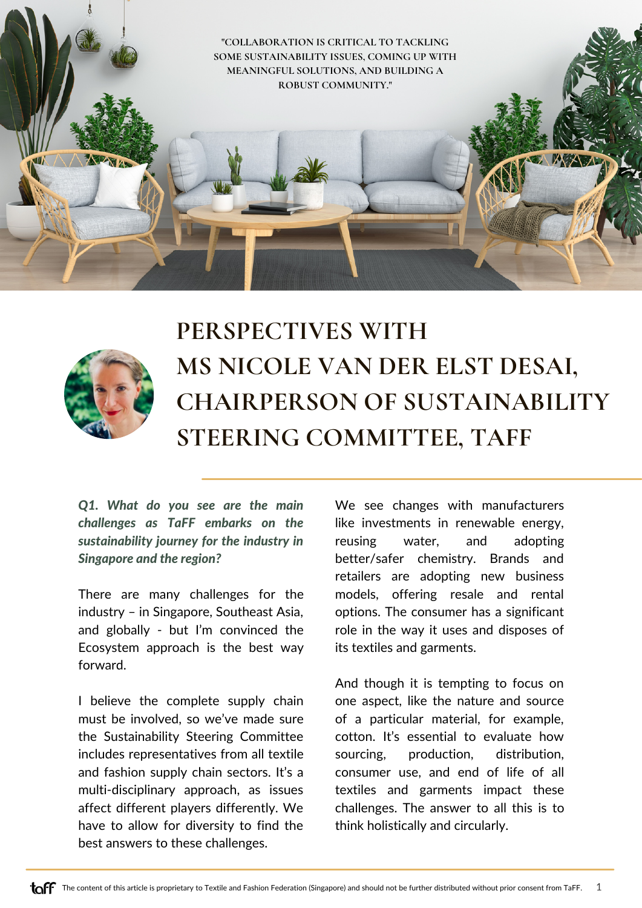



## **PERSPECTIVES WITH MS NICOLE VAN DER ELST DESAI, CHAIRPERSON OF SUSTAINABILITY STEERING COMMITTEE, TAFF**

*Q1. What do you see are the main challenges as TaFF embarks on the sustainability journey for the industry in Singapore and the region?*

There are many challenges for the industry – in Singapore, Southeast Asia, and globally - but I'm convinced the Ecosystem approach is the best way forward.

I believe the complete supply chain must be involved, so we've made sure the Sustainability Steering Committee includes representatives from all textile and fashion supply chain sectors. It's a multi-disciplinary approach, as issues affect different players differently. We have to allow for diversity to find the best answers to these challenges.

We see changes with manufacturers like investments in renewable energy, reusing water, and adopting better/safer chemistry. Brands and retailers are adopting new business models, offering resale and rental options. The consumer has a significant role in the way it uses and disposes of its textiles and garments.

And though it is tempting to focus on one aspect, like the nature and source of a particular material, for example, cotton. It's essential to evaluate how sourcing, production, distribution, consumer use, and end of life of all textiles and garments impact these challenges. The answer to all this is to think holistically and circularly.